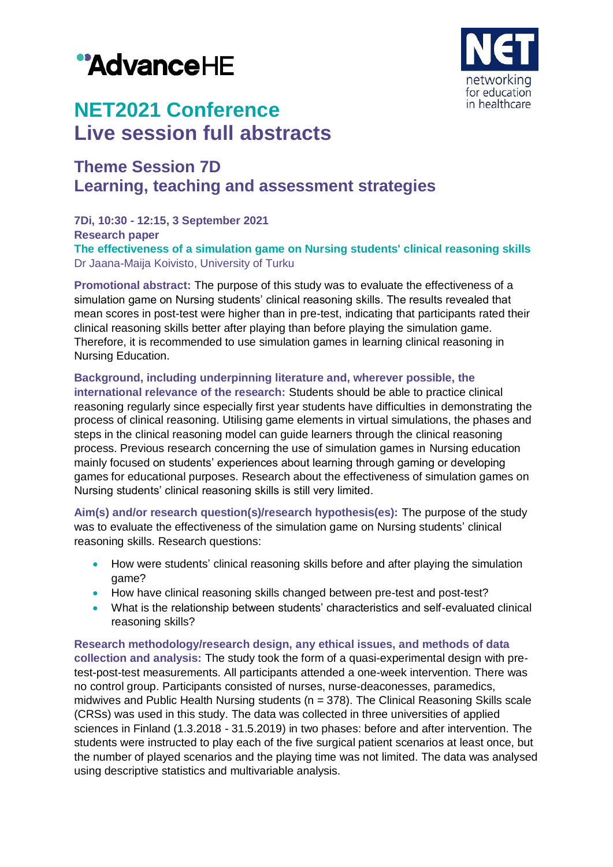



# **NET2021 Conference Live session full abstracts**

# **Theme Session 7D Learning, teaching and assessment strategies**

**7Di, 10:30 - 12:15, 3 September 2021 Research paper The effectiveness of a simulation game on Nursing students' clinical reasoning skills** Dr Jaana-Maija Koivisto, University of Turku

**Promotional abstract:** The purpose of this study was to evaluate the effectiveness of a simulation game on Nursing students' clinical reasoning skills. The results revealed that mean scores in post-test were higher than in pre-test, indicating that participants rated their clinical reasoning skills better after playing than before playing the simulation game. Therefore, it is recommended to use simulation games in learning clinical reasoning in Nursing Education.

# **Background, including underpinning literature and, wherever possible, the**

**international relevance of the research:** Students should be able to practice clinical reasoning regularly since especially first year students have difficulties in demonstrating the process of clinical reasoning. Utilising game elements in virtual simulations, the phases and steps in the clinical reasoning model can guide learners through the clinical reasoning process. Previous research concerning the use of simulation games in Nursing education mainly focused on students' experiences about learning through gaming or developing games for educational purposes. Research about the effectiveness of simulation games on Nursing students' clinical reasoning skills is still very limited.

**Aim(s) and/or research question(s)/research hypothesis(es):** The purpose of the study was to evaluate the effectiveness of the simulation game on Nursing students' clinical reasoning skills. Research questions:

- How were students' clinical reasoning skills before and after playing the simulation game?
- How have clinical reasoning skills changed between pre-test and post-test?
- What is the relationship between students' characteristics and self-evaluated clinical reasoning skills?

**Research methodology/research design, any ethical issues, and methods of data collection and analysis:** The study took the form of a quasi-experimental design with pretest-post-test measurements. All participants attended a one-week intervention. There was no control group. Participants consisted of nurses, nurse-deaconesses, paramedics, midwives and Public Health Nursing students (n = 378). The Clinical Reasoning Skills scale (CRSs) was used in this study. The data was collected in three universities of applied sciences in Finland (1.3.2018 - 31.5.2019) in two phases: before and after intervention. The students were instructed to play each of the five surgical patient scenarios at least once, but the number of played scenarios and the playing time was not limited. The data was analysed using descriptive statistics and multivariable analysis.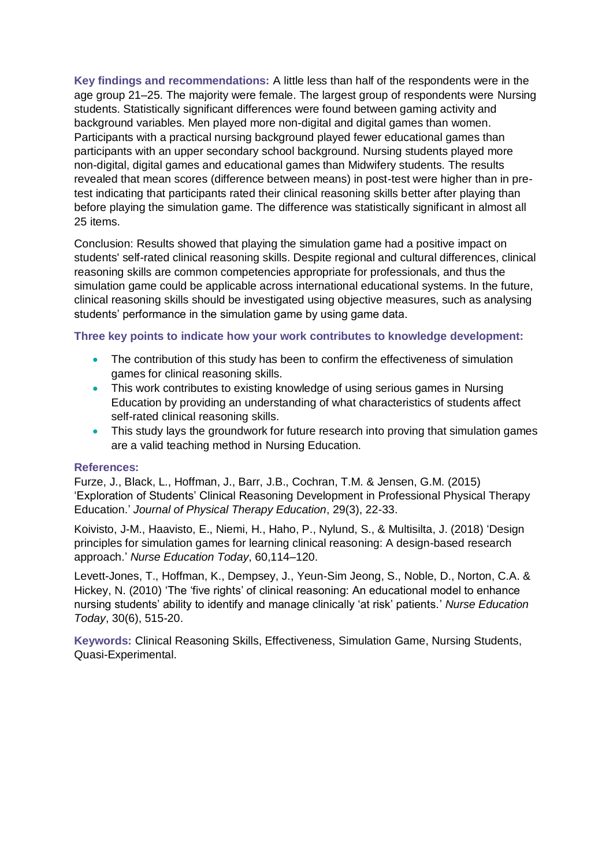**Key findings and recommendations:** A little less than half of the respondents were in the age group 21–25. The majority were female. The largest group of respondents were Nursing students. Statistically significant differences were found between gaming activity and background variables. Men played more non-digital and digital games than women. Participants with a practical nursing background played fewer educational games than participants with an upper secondary school background. Nursing students played more non-digital, digital games and educational games than Midwifery students. The results revealed that mean scores (difference between means) in post-test were higher than in pretest indicating that participants rated their clinical reasoning skills better after playing than before playing the simulation game. The difference was statistically significant in almost all 25 items.

Conclusion: Results showed that playing the simulation game had a positive impact on students' self-rated clinical reasoning skills. Despite regional and cultural differences, clinical reasoning skills are common competencies appropriate for professionals, and thus the simulation game could be applicable across international educational systems. In the future, clinical reasoning skills should be investigated using objective measures, such as analysing students' performance in the simulation game by using game data.

## **Three key points to indicate how your work contributes to knowledge development:**

- The contribution of this study has been to confirm the effectiveness of simulation games for clinical reasoning skills.
- This work contributes to existing knowledge of using serious games in Nursing Education by providing an understanding of what characteristics of students affect self-rated clinical reasoning skills.
- This study lays the groundwork for future research into proving that simulation games are a valid teaching method in Nursing Education.

#### **References:**

Furze, J., Black, L., Hoffman, J., Barr, J.B., Cochran, T.M. & Jensen, G.M. (2015) 'Exploration of Students' Clinical Reasoning Development in Professional Physical Therapy Education.' *Journal of Physical Therapy Education*, 29(3), 22-33.

Koivisto, J-M., Haavisto, E., Niemi, H., Haho, P., Nylund, S., & Multisilta, J. (2018) 'Design principles for simulation games for learning clinical reasoning: A design-based research approach.' *Nurse Education Today*, 60,114–120.

Levett-Jones, T., Hoffman, K., Dempsey, J., Yeun-Sim Jeong, S., Noble, D., Norton, C.A. & Hickey, N. (2010) 'The 'five rights' of clinical reasoning: An educational model to enhance nursing students' ability to identify and manage clinically 'at risk' patients.' *Nurse Education Today*, 30(6), 515-20.

**Keywords:** Clinical Reasoning Skills, Effectiveness, Simulation Game, Nursing Students, Quasi-Experimental.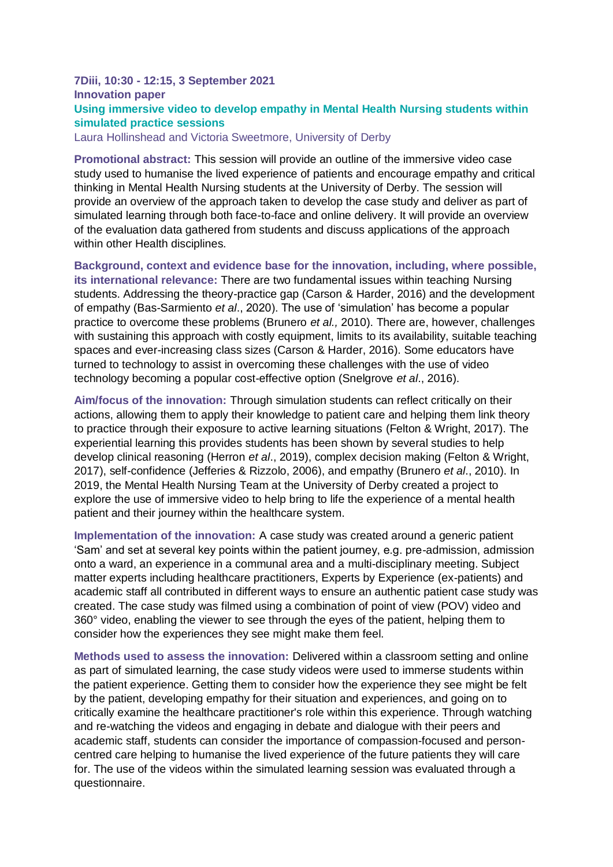# **7Diii, 10:30 - 12:15, 3 September 2021 Innovation paper Using immersive video to develop empathy in Mental Health Nursing students within simulated practice sessions**

Laura Hollinshead and Victoria Sweetmore, University of Derby

**Promotional abstract:** This session will provide an outline of the immersive video case study used to humanise the lived experience of patients and encourage empathy and critical thinking in Mental Health Nursing students at the University of Derby. The session will provide an overview of the approach taken to develop the case study and deliver as part of simulated learning through both face-to-face and online delivery. It will provide an overview of the evaluation data gathered from students and discuss applications of the approach within other Health disciplines.

**Background, context and evidence base for the innovation, including, where possible, its international relevance:** There are two fundamental issues within teaching Nursing students. Addressing the theory-practice gap (Carson & Harder, 2016) and the development of empathy (Bas-Sarmiento *et al*., 2020). The use of 'simulation' has become a popular practice to overcome these problems (Brunero *et al.,* 2010). There are, however, challenges with sustaining this approach with costly equipment, limits to its availability, suitable teaching spaces and ever-increasing class sizes (Carson & Harder, 2016). Some educators have turned to technology to assist in overcoming these challenges with the use of video technology becoming a popular cost-effective option (Snelgrove *et al*., 2016).

**Aim/focus of the innovation:** Through simulation students can reflect critically on their actions, allowing them to apply their knowledge to patient care and helping them link theory to practice through their exposure to active learning situations (Felton & Wright, 2017). The experiential learning this provides students has been shown by several studies to help develop clinical reasoning (Herron *et al*., 2019), complex decision making (Felton & Wright, 2017), self-confidence (Jefferies & Rizzolo, 2006), and empathy (Brunero *et al*., 2010). In 2019, the Mental Health Nursing Team at the University of Derby created a project to explore the use of immersive video to help bring to life the experience of a mental health patient and their journey within the healthcare system.

**Implementation of the innovation:** A case study was created around a generic patient 'Sam' and set at several key points within the patient journey, e.g. pre-admission, admission onto a ward, an experience in a communal area and a multi-disciplinary meeting. Subject matter experts including healthcare practitioners, Experts by Experience (ex-patients) and academic staff all contributed in different ways to ensure an authentic patient case study was created. The case study was filmed using a combination of point of view (POV) video and 360° video, enabling the viewer to see through the eyes of the patient, helping them to consider how the experiences they see might make them feel.

**Methods used to assess the innovation:** Delivered within a classroom setting and online as part of simulated learning, the case study videos were used to immerse students within the patient experience. Getting them to consider how the experience they see might be felt by the patient, developing empathy for their situation and experiences, and going on to critically examine the healthcare practitioner's role within this experience. Through watching and re-watching the videos and engaging in debate and dialogue with their peers and academic staff, students can consider the importance of compassion-focused and personcentred care helping to humanise the lived experience of the future patients they will care for. The use of the videos within the simulated learning session was evaluated through a questionnaire.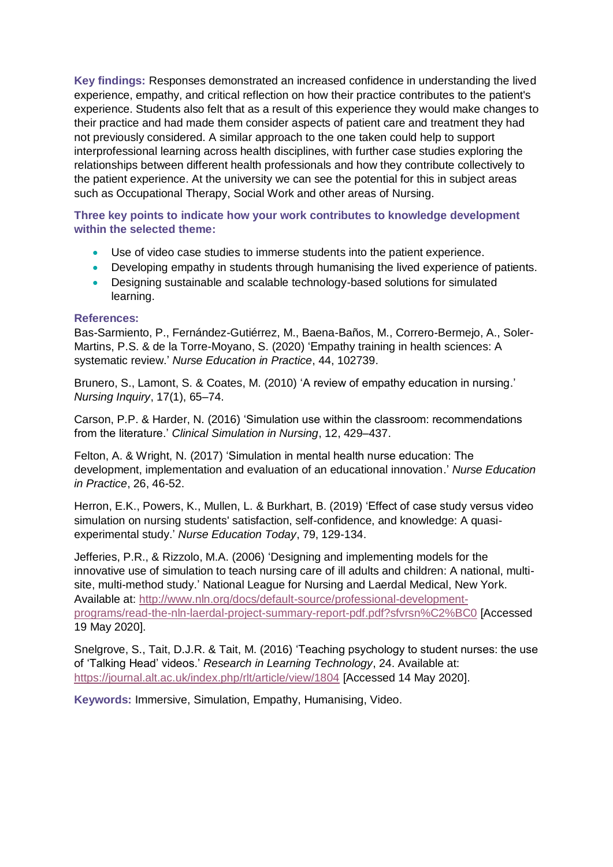**Key findings:** Responses demonstrated an increased confidence in understanding the lived experience, empathy, and critical reflection on how their practice contributes to the patient's experience. Students also felt that as a result of this experience they would make changes to their practice and had made them consider aspects of patient care and treatment they had not previously considered. A similar approach to the one taken could help to support interprofessional learning across health disciplines, with further case studies exploring the relationships between different health professionals and how they contribute collectively to the patient experience. At the university we can see the potential for this in subject areas such as Occupational Therapy, Social Work and other areas of Nursing.

**Three key points to indicate how your work contributes to knowledge development within the selected theme:**

- Use of video case studies to immerse students into the patient experience.
- Developing empathy in students through humanising the lived experience of patients.
- Designing sustainable and scalable technology-based solutions for simulated learning.

### **References:**

Bas-Sarmiento, P., Fernández-Gutiérrez, M., Baena-Baños, M., Correro-Bermejo, A., Soler-Martins, P.S. & de la Torre-Moyano, S. (2020) 'Empathy training in health sciences: A systematic review.' *Nurse Education in Practice*, 44, 102739.

Brunero, S., Lamont, S. & Coates, M. (2010) 'A review of empathy education in nursing.' *Nursing Inquiry*, 17(1), 65–74.

Carson, P.P. & Harder, N. (2016) 'Simulation use within the classroom: recommendations from the literature.' *Clinical Simulation in Nursing*, 12, 429–437.

Felton, A. & Wright, N. (2017) 'Simulation in mental health nurse education: The development, implementation and evaluation of an educational innovation.' *Nurse Education in Practice*, 26, 46-52.

Herron, E.K., Powers, K., Mullen, L. & Burkhart, B. (2019) 'Effect of case study versus video simulation on nursing students' satisfaction, self-confidence, and knowledge: A quasiexperimental study.' *Nurse Education Today*, 79, 129-134.

Jefferies, P.R., & Rizzolo, M.A. (2006) 'Designing and implementing models for the innovative use of simulation to teach nursing care of ill adults and children: A national, multisite, multi-method study.' National League for Nursing and Laerdal Medical, New York. Available at: [http://www.nln.org/docs/default-source/professional-development](http://www.nln.org/docs/default-source/professional-development-programs/read-the-nln-laerdal-project-summary-report-pdf.pdf?sfvrsn%C2%BC0)[programs/read-the-nln-laerdal-project-summary-report-pdf.pdf?sfvrsn%C2%BC0](http://www.nln.org/docs/default-source/professional-development-programs/read-the-nln-laerdal-project-summary-report-pdf.pdf?sfvrsn%C2%BC0) [Accessed 19 May 2020].

Snelgrove, S., Tait, D.J.R. & Tait, M. (2016) 'Teaching psychology to student nurses: the use of 'Talking Head' videos.' *Research in Learning Technology*, 24. Available at: <https://journal.alt.ac.uk/index.php/rlt/article/view/1804> [Accessed 14 May 2020].

**Keywords:** Immersive, Simulation, Empathy, Humanising, Video.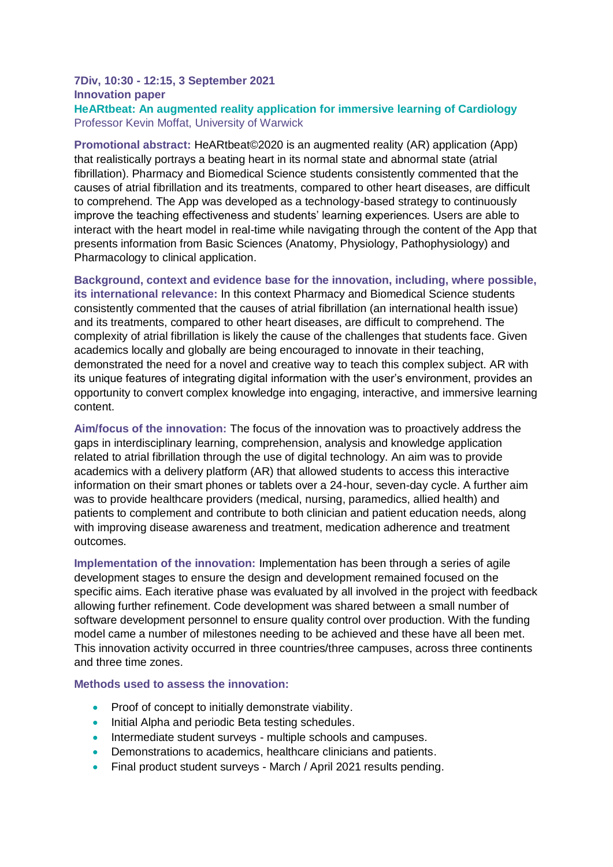# **7Div, 10:30 - 12:15, 3 September 2021 Innovation paper HeARtbeat: An augmented reality application for immersive learning of Cardiology**

Professor Kevin Moffat, University of Warwick

**Promotional abstract:** HeARtbeat©2020 is an augmented reality (AR) application (App) that realistically portrays a beating heart in its normal state and abnormal state (atrial fibrillation). Pharmacy and Biomedical Science students consistently commented that the causes of atrial fibrillation and its treatments, compared to other heart diseases, are difficult to comprehend. The App was developed as a technology-based strategy to continuously improve the teaching effectiveness and students' learning experiences. Users are able to interact with the heart model in real-time while navigating through the content of the App that presents information from Basic Sciences (Anatomy, Physiology, Pathophysiology) and Pharmacology to clinical application.

**Background, context and evidence base for the innovation, including, where possible, its international relevance:** In this context Pharmacy and Biomedical Science students consistently commented that the causes of atrial fibrillation (an international health issue) and its treatments, compared to other heart diseases, are difficult to comprehend. The complexity of atrial fibrillation is likely the cause of the challenges that students face. Given academics locally and globally are being encouraged to innovate in their teaching, demonstrated the need for a novel and creative way to teach this complex subject. AR with its unique features of integrating digital information with the user's environment, provides an opportunity to convert complex knowledge into engaging, interactive, and immersive learning content.

**Aim/focus of the innovation:** The focus of the innovation was to proactively address the gaps in interdisciplinary learning, comprehension, analysis and knowledge application related to atrial fibrillation through the use of digital technology. An aim was to provide academics with a delivery platform (AR) that allowed students to access this interactive information on their smart phones or tablets over a 24-hour, seven-day cycle. A further aim was to provide healthcare providers (medical, nursing, paramedics, allied health) and patients to complement and contribute to both clinician and patient education needs, along with improving disease awareness and treatment, medication adherence and treatment outcomes.

**Implementation of the innovation:** Implementation has been through a series of agile development stages to ensure the design and development remained focused on the specific aims. Each iterative phase was evaluated by all involved in the project with feedback allowing further refinement. Code development was shared between a small number of software development personnel to ensure quality control over production. With the funding model came a number of milestones needing to be achieved and these have all been met. This innovation activity occurred in three countries/three campuses, across three continents and three time zones.

#### **Methods used to assess the innovation:**

- Proof of concept to initially demonstrate viability.
- Initial Alpha and periodic Beta testing schedules.
- Intermediate student surveys multiple schools and campuses.
- Demonstrations to academics, healthcare clinicians and patients.
- Final product student surveys March / April 2021 results pending.